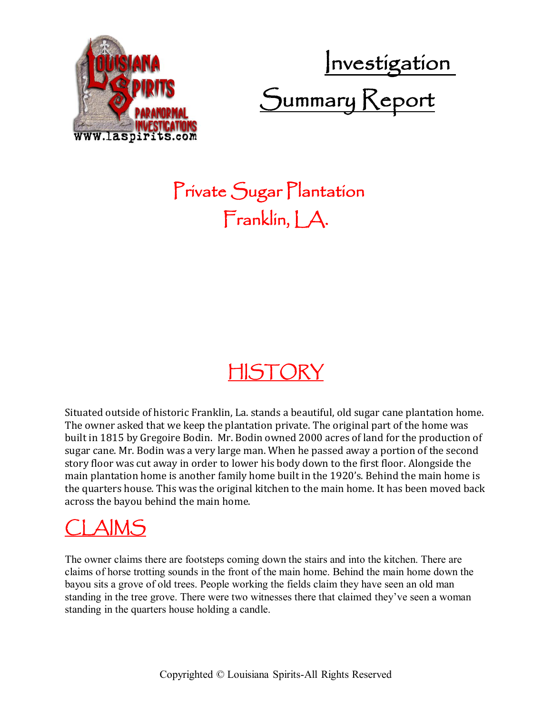

Investigation Summary Report

## Private Sugar Plantation Franklin, J.A.

#### HISTORY

Situated outside of historic Franklin, La. stands a beautiful, old sugar cane plantation home. The owner asked that we keep the plantation private. The original part of the home was built in 1815 by Gregoire Bodin. Mr. Bodin owned 2000 acres of land for the production of sugar cane. Mr. Bodin was a very large man. When he passed away a portion of the second story floor was cut away in order to lower his body down to the first floor. Alongside the main plantation home is another family home built in the 1920's. Behind the main home is the quarters house. This was the original kitchen to the main home. It has been moved back across the bayou behind the main home.

### CLAIMS

The owner claims there are footsteps coming down the stairs and into the kitchen. There are claims of horse trotting sounds in the front of the main home. Behind the main home down the bayou sits a grove of old trees. People working the fields claim they have seen an old man standing in the tree grove. There were two witnesses there that claimed they've seen a woman standing in the quarters house holding a candle.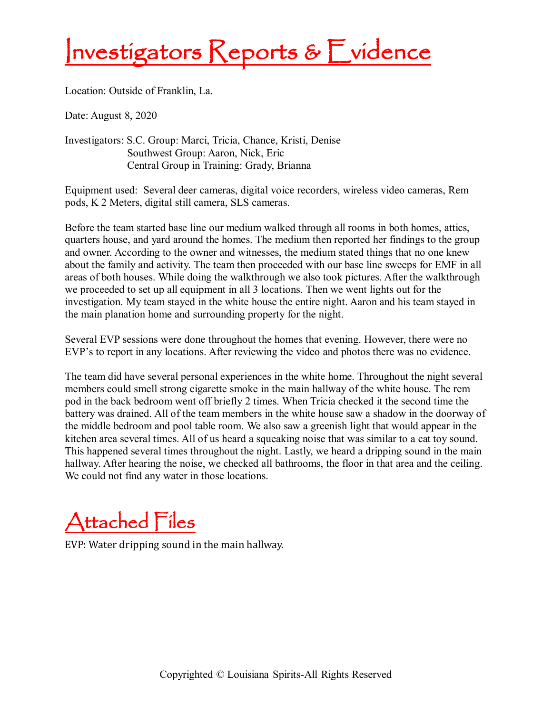# Investigators Reports & Evidence

Location: Outside of Franklin, La.

Date: August 8, 2020

Investigators: S.C. Group: Marci, Tricia, Chance, Kristi, Denise Southwest Group: Aaron, Nick, Eric Central Group in Training: Grady, Brianna

Equipment used: Several deer cameras, digital voice recorders, wireless video cameras, Rem pods, K 2 Meters, digital still camera, SLS cameras.

Before the team started base line our medium walked through all rooms in both homes, attics, quarters house, and yard around the homes. The medium then reported her findings to the group and owner. According to the owner and witnesses, the medium stated things that no one knew about the family and activity. The team then proceeded with our base line sweeps for EMF in all areas of both houses. While doing the walkthrough we also took pictures. After the walkthrough we proceeded to set up all equipment in all 3 locations. Then we went lights out for the investigation. My team stayed in the white house the entire night. Aaron and his team stayed in the main planation home and surrounding property for the night.

Several EVP sessions were done throughout the homes that evening. However, there were no EVP's to report in any locations. After reviewing the video and photos there was no evidence.

The team did have several personal experiences in the white home. Throughout the night several members could smell strong cigarette smoke in the main hallway of the white house. The rem pod in the back bedroom went off briefly 2 times. When Tricia checked it the second time the battery was drained. All of the team members in the white house saw a shadow in the doorway of the middle bedroom and pool table room. We also saw a greenish light that would appear in the kitchen area several times. All of us heard a squeaking noise that was similar to a cat toy sound. This happened several times throughout the night. Lastly, we heard a dripping sound in the main hallway. After hearing the noise, we checked all bathrooms, the floor in that area and the ceiling. We could not find any water in those locations.

Attached Files

EVP: Water dripping sound in the main hallway.